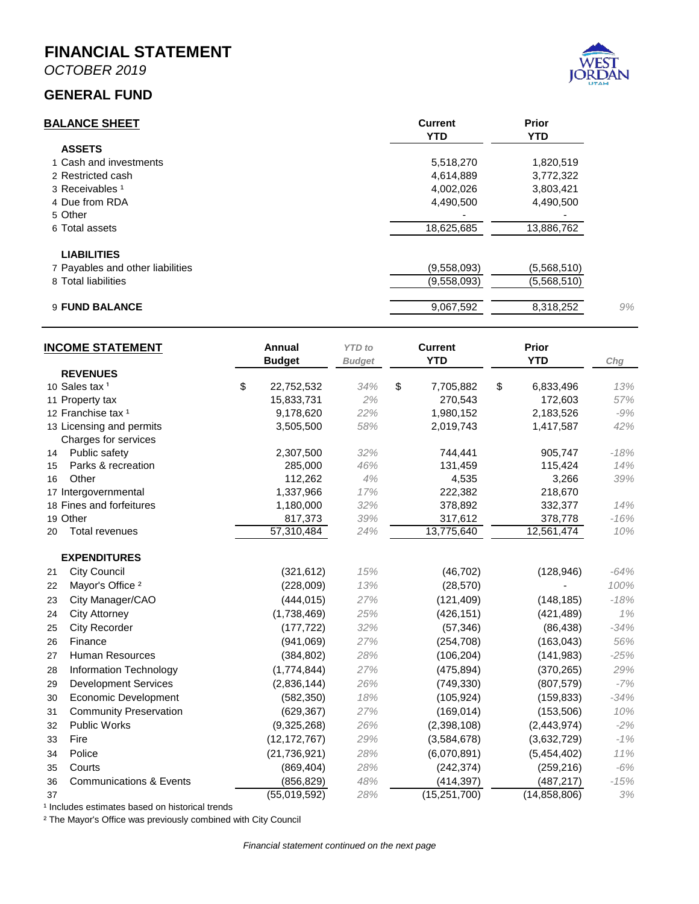**MONTHLY FINANCIAL STATEMENT FOR THE FISCAL YEAR 2019-2020 OCTOBER 31, 2019**



**Prepared by Danyce Steck, CPFO – Finance Director**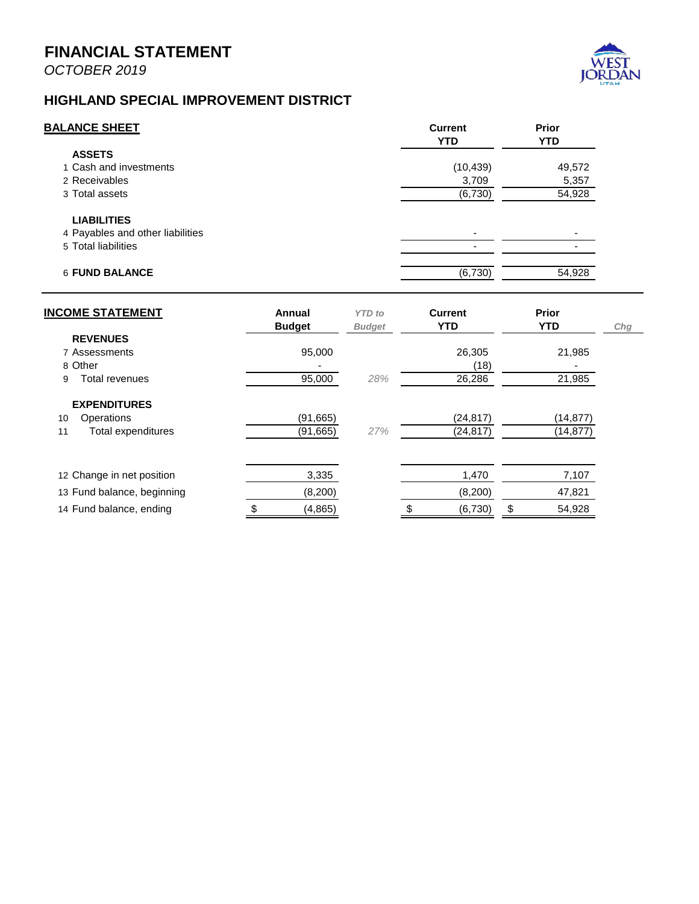

*Wastewater Fund*

The Wastewater Fund is an enterprise fund which means it acts like a business. To understand the financial position of the Wastewater Fund, the reader should take note of Lines 1 and 11 (Cash and Net position).



The Wastewater Fund has approximately \$7.9 million in reserves (net position), or 70% of annual revenues. These reserves are dedicated to system improvements and maintenance. This fund has two (2) pressure points - federal regulations which require additional wastewater treatments, and aging infrastructure which will require overhaul or replacement.

Revenue – Wastewater fees increased by 20% from the prior year due to the rate adjustment. Impact fee revenue increased due to the Amazon payment.

Expense – Expenses are within expected budget levels

# *Solid Waste Fund*

The Solid Waste Fund is an enterprise fund which means it acts like a business. To understand the financial position of the Solid Waste Fund, the reader should take note of Lines 1 and 10 (Cash and Net position).

The Solid Waste Fund's reserves (net position) are low at 14% of annual revenues. Best practice requires no less than 13% (45 days). The City will need to monitor this Fund closely.

Revenue – Collection fees increased by 29% from the prior year due to the rate adjustment.

Expense – Expenses are below budget due to the timing of the City's payment for collection services.

#### *Storm Water Fund*

The Storm Water Fund is an enterprise fund which means it acts like a business. To understand the financial position of the Storm Water Fund, the reader should take note of Lines 1 and 11 (Cash and Net position).



The Storm Water Fund's reserves (net position) are stable at 123% of annual revenues. These reserves are dedicated to system improvements and maintenance currently in the design phase. Additional federal regulations will continue to put pressure on this Fund.

Revenue – Collection fees increased by 26% from the prior year due to the rate adjustment. Amazon's impact fee was paid in August.

Expense – Expenses are within expected budget levels.

#### *Streetlight Fund*

The Streetlight Fund is an enterprise fund which means it acts like a business. To understand the financial position of the Streetlight Fund, the reader should take note of Lines 1 and 6 (Cash and Net position).

This fund continues to build reserves in preparation for system improvements in the near future.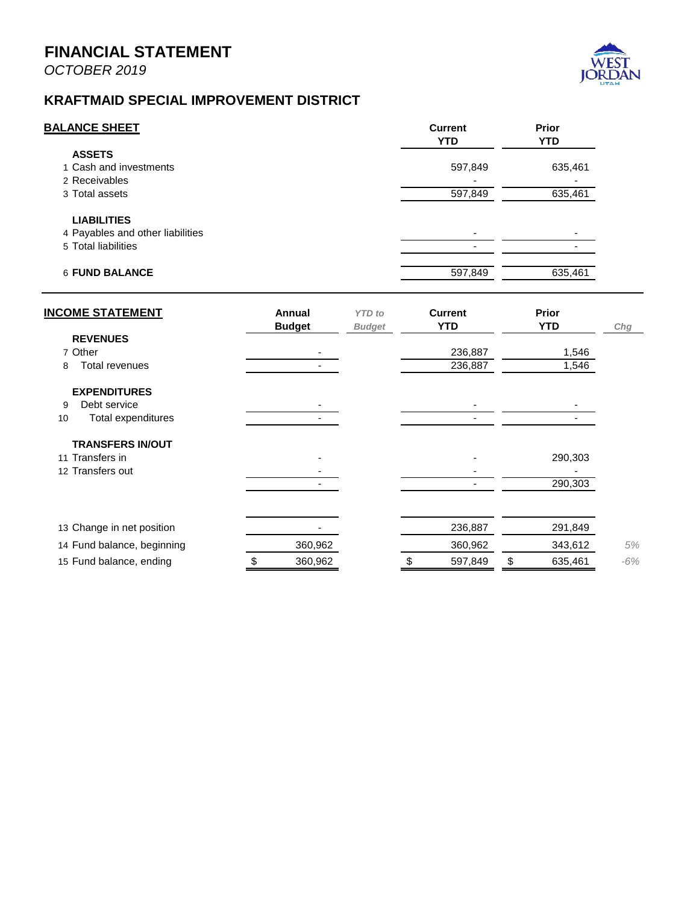

### *Fleet Management Fund*

The Fleet Management Fund is an internal service fund which means it provides services to the entire City and all its Funds and is reimbursed for these services at a rate equal to the long-term planning needs of the service. It is reported similar to an enterprise fund. To understand the financial position of the Fleet Management Fund, the reader should take note of Lines 1 and 10 (Cash and Net position).

The long-term plan for this service depends on \$4.2m per year being dedicated towards this fund for the replacement and maintenance of vehicles and equipment for the City. The reserves for the fund reflect approximately 1.25 years of savings in preparation for large infrastructure demands like fire engines, ladder trucks, snow plows, etc.

All activity is within expected budget levels.

### *IT Infrastructure Fund*

The IT Infrastructure Fund is an internal service fund which means it provides services to the entire City and all its Funds and is reimbursed for these services at a rate equal to the long-term planning needs of the service. It is reported similar to an enterprise fund. To understand the financial position of the IT Infrastructure Fund, the reader should take note of Lines 1 and 7 (Cash and Net position).

The long-term plan for this service depends on \$330k per year being dedicated towards this fund for the replacement of computers, servers, hardware, software, etc. The reserves for the fund reflect approximately 4 years of savings in preparation for large infrastructure demands.

# *Risk Management Fund*

The Risk Management Fund receives its support from all the other funds in the form of an assessment. Reserves are currently negative due to the timing of the payment of the City's premiums at the beginning of the year and the assessments to recover that payment occurring over time during the year. Premiums increased year over year by 5% from the prior year.

Domyce Steck

Danyce Steck, CPFO Finance Director – City of West Jordan December 3, 2019